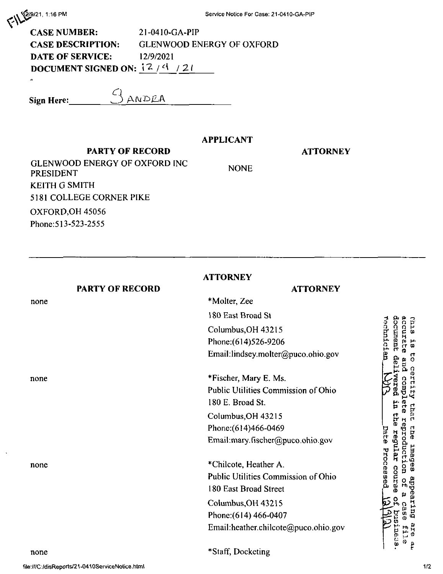| $\left( \frac{1}{2} \right)$ $\left( \frac{2}{9}/21, 1:16 \text{ Pm} \right)$ |  |
|-------------------------------------------------------------------------------|--|
|                                                                               |  |

| <b>CASE NUMBER:</b>             | $21 - 0410 - G_A - PIP$          |  |
|---------------------------------|----------------------------------|--|
| <b>CASE DESCRIPTION:</b>        | <b>GLENWOOD ENERGY OF OXFORD</b> |  |
| <b>DATE OF SERVICE:</b>         | 12/9/2021                        |  |
| DOCUMENT SIGNED ON: $12/4 / 21$ |                                  |  |
| $\bullet$                       |                                  |  |

Sign Here:

## **APPLICANT**

## **PARTY OF RECORD**

3 ANDRA

## **ATTORNEY**

**GLENWOOD ENERGY OF OXFORD INC PRESIDENT KEITH G SMITH** 5181 COLLEGE CORNER PIKE OXFORD, OH 45056 Phone: 513-523-2555

**NONE** 

| <b>ATTORNEY</b> |                                     |                                      |                        |
|-----------------|-------------------------------------|--------------------------------------|------------------------|
|                 | <b>PARTY OF RECORD</b>              | <b>ATTORNEY</b>                      |                        |
| none            |                                     | *Molter, Zee                         |                        |
|                 |                                     | 180 East Broad St                    |                        |
|                 |                                     | Columbus, OH 43215                   | rechnician<br>document |
|                 |                                     | Phone: (614) 526-9206                |                        |
|                 |                                     | Email:lindsey.molter@puco.ohio.gov   | del                    |
| none            |                                     | *Fischer, Mary E. Ms.                |                        |
|                 |                                     | Public Utilities Commission of Ohio  | para                   |
|                 |                                     | 180 E. Broad St.                     | E.                     |
|                 |                                     | Columbus, OH 43215                   | <b>Phe</b>             |
|                 |                                     | Phone: (614)466-0469                 |                        |
|                 |                                     | Email:mary.fischer@puco.ohio.gov     | Date                   |
|                 |                                     |                                      | repular                |
| none            | *Chilcote, Heather A.               |                                      |                        |
|                 | Public Utilities Commission of Ohio | Processed<br>course                  |                        |
|                 | 180 East Broad Street               |                                      |                        |
|                 | Columbus, OH 43215                  | ္က                                   |                        |
|                 | Phone: (614) 466-0407               |                                      |                        |
|                 |                                     | Email:heather.chilcote@puco.ohio.gov | iner                   |

file:///C:/disReports/21-0410ServiceNotice.html

none

accurate and complete reproduction of a case This is to certify that the images appearing are file ö p

 $\mathbf{\mathbf{I}}$